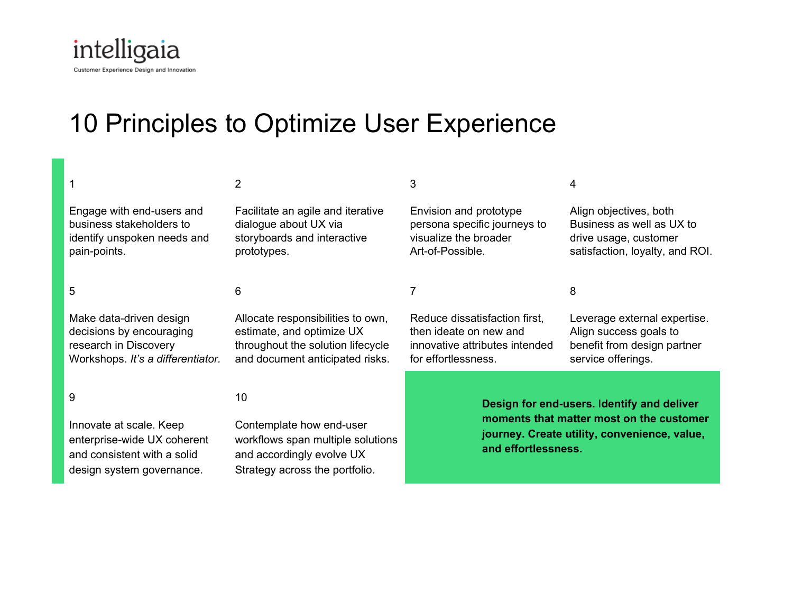

design system governance.

# 10 Principles to Optimize User Experience

Strategy across the portfolio.

|                                   | $\mathcal{P}$                     | 3                                            | 4                               |
|-----------------------------------|-----------------------------------|----------------------------------------------|---------------------------------|
| Engage with end-users and         | Facilitate an agile and iterative | Envision and prototype                       | Align objectives, both          |
| business stakeholders to          | dialogue about UX via             | persona specific journeys to                 | Business as well as UX to       |
| identify unspoken needs and       | storyboards and interactive       | visualize the broader                        | drive usage, customer           |
| pain-points.                      | prototypes.                       | Art-of-Possible.                             | satisfaction, loyalty, and ROI. |
| 5                                 | 6                                 |                                              | 8                               |
| Make data-driven design           | Allocate responsibilities to own, | Reduce dissatisfaction first,                | Leverage external expertise.    |
| decisions by encouraging          | estimate, and optimize UX         | then ideate on new and                       | Align success goals to          |
| research in Discovery             | throughout the solution lifecycle | innovative attributes intended               | benefit from design partner     |
| Workshops. It's a differentiator. | and document anticipated risks.   | for effortlessness.                          | service offerings.              |
| 9                                 | 10                                | Design for end-users. Identify and deliver   |                                 |
| Innovate at scale. Keep           | Contemplate how end-user          | moments that matter most on the customer     |                                 |
| enterprise-wide UX coherent       | workflows span multiple solutions | journey. Create utility, convenience, value, |                                 |
| and consistent with a solid       | and accordingly evolve UX         | and effortlessness.                          |                                 |